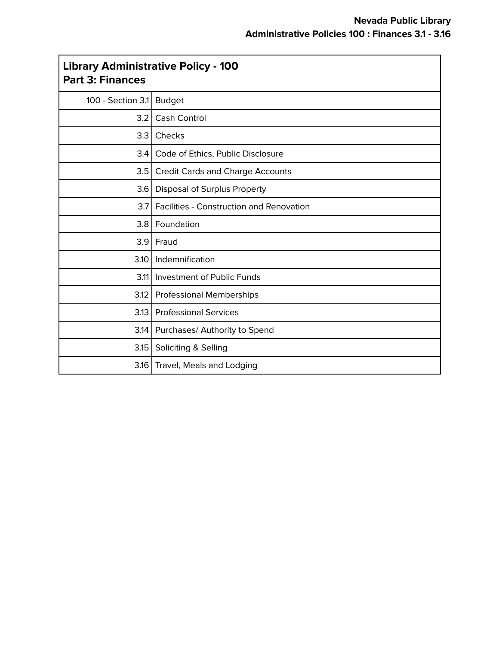$\overline{\phantom{a}}$ 

| <b>Library Administrative Policy - 100</b><br><b>Part 3: Finances</b> |                                                 |
|-----------------------------------------------------------------------|-------------------------------------------------|
| 100 - Section 3.1                                                     | <b>Budget</b>                                   |
| 3.2                                                                   | Cash Control                                    |
| 3.3                                                                   | Checks                                          |
| 3.4                                                                   | Code of Ethics, Public Disclosure               |
| 3.5                                                                   | <b>Credit Cards and Charge Accounts</b>         |
| 3.6                                                                   | Disposal of Surplus Property                    |
| 3.7                                                                   | <b>Facilities - Construction and Renovation</b> |
| 3.8                                                                   | Foundation                                      |
| 3.9                                                                   | Fraud                                           |
| 3.10                                                                  | Indemnification                                 |
|                                                                       | 3.11 Investment of Public Funds                 |
|                                                                       | 3.12   Professional Memberships                 |
| 3.13                                                                  | <b>Professional Services</b>                    |
|                                                                       | 3.14   Purchases/ Authority to Spend            |
| 3.15                                                                  | Soliciting & Selling                            |
|                                                                       | 3.16   Travel, Meals and Lodging                |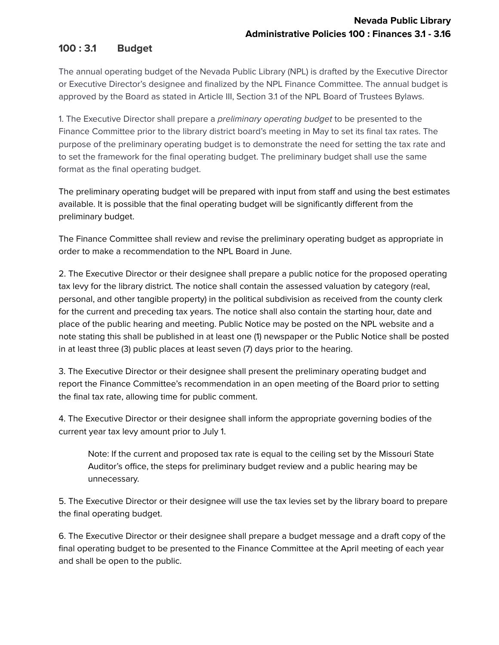# **100 : 3.1 Budget**

The annual operating budget of the Nevada Public Library (NPL) is drafted by the Executive Director or Executive Director's designee and finalized by the NPL Finance Committee. The annual budget is approved by the Board as stated in Article III, Section 3.1 of the NPL Board of Trustees Bylaws.

1. The Executive Director shall prepare a *preliminary operating budget* to be presented to the Finance Committee prior to the library district board's meeting in May to set its final tax rates. The purpose of the preliminary operating budget is to demonstrate the need for setting the tax rate and to set the framework for the final operating budget. The preliminary budget shall use the same format as the final operating budget.

The preliminary operating budget will be prepared with input from staff and using the best estimates available. It is possible that the final operating budget will be significantly different from the preliminary budget.

The Finance Committee shall review and revise the preliminary operating budget as appropriate in order to make a recommendation to the NPL Board in June.

2. The Executive Director or their designee shall prepare a public notice for the proposed operating tax levy for the library district. The notice shall contain the assessed valuation by category (real, personal, and other tangible property) in the political subdivision as received from the county clerk for the current and preceding tax years. The notice shall also contain the starting hour, date and place of the public hearing and meeting. Public Notice may be posted on the NPL website and a note stating this shall be published in at least one (1) newspaper or the Public Notice shall be posted in at least three (3) public places at least seven (7) days prior to the hearing.

3. The Executive Director or their designee shall present the preliminary operating budget and report the Finance Committee's recommendation in an open meeting of the Board prior to setting the final tax rate, allowing time for public comment.

4. The Executive Director or their designee shall inform the appropriate governing bodies of the current year tax levy amount prior to July 1.

Note: If the current and proposed tax rate is equal to the ceiling set by the Missouri State Auditor's office, the steps for preliminary budget review and a public hearing may be unnecessary.

5. The Executive Director or their designee will use the tax levies set by the library board to prepare the final operating budget.

6. The Executive Director or their designee shall prepare a budget message and a draft copy of the final operating budget to be presented to the Finance Committee at the April meeting of each year and shall be open to the public.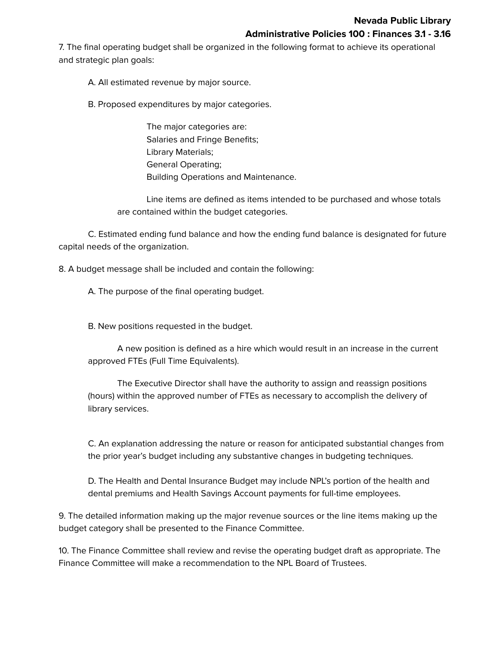7. The final operating budget shall be organized in the following format to achieve its operational and strategic plan goals:

A. All estimated revenue by major source.

B. Proposed expenditures by major categories.

The major categories are: Salaries and Fringe Benefits; Library Materials; General Operating; Building Operations and Maintenance.

Line items are defined as items intended to be purchased and whose totals are contained within the budget categories.

C. Estimated ending fund balance and how the ending fund balance is designated for future capital needs of the organization.

8. A budget message shall be included and contain the following:

A. The purpose of the final operating budget.

B. New positions requested in the budget.

A new position is defined as a hire which would result in an increase in the current approved FTEs (Full Time Equivalents).

The Executive Director shall have the authority to assign and reassign positions (hours) within the approved number of FTEs as necessary to accomplish the delivery of library services.

C. An explanation addressing the nature or reason for anticipated substantial changes from the prior year's budget including any substantive changes in budgeting techniques.

D. The Health and Dental Insurance Budget may include NPL's portion of the health and dental premiums and Health Savings Account payments for full-time employees.

9. The detailed information making up the major revenue sources or the line items making up the budget category shall be presented to the Finance Committee.

10. The Finance Committee shall review and revise the operating budget draft as appropriate. The Finance Committee will make a recommendation to the NPL Board of Trustees.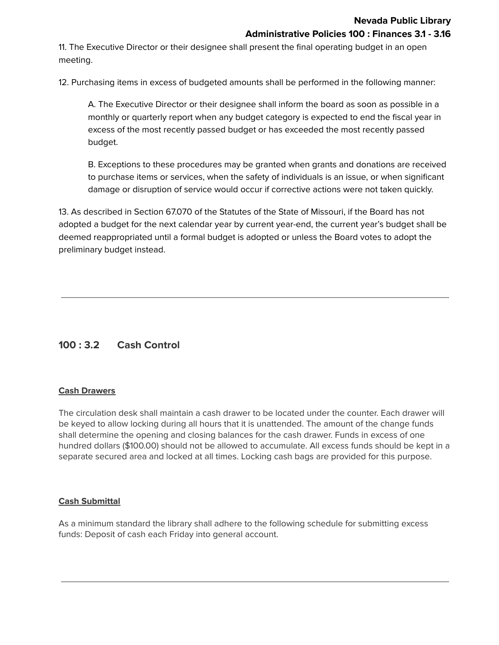11. The Executive Director or their designee shall present the final operating budget in an open meeting.

12. Purchasing items in excess of budgeted amounts shall be performed in the following manner:

A. The Executive Director or their designee shall inform the board as soon as possible in a monthly or quarterly report when any budget category is expected to end the fiscal year in excess of the most recently passed budget or has exceeded the most recently passed budget.

B. Exceptions to these procedures may be granted when grants and donations are received to purchase items or services, when the safety of individuals is an issue, or when significant damage or disruption of service would occur if corrective actions were not taken quickly.

13. As described in Section 67.070 of the Statutes of the State of Missouri, if the Board has not adopted a budget for the next calendar year by current year-end, the current year's budget shall be deemed reappropriated until a formal budget is adopted or unless the Board votes to adopt the preliminary budget instead.

# **100 : 3.2 Cash Control**

### **Cash Drawers**

The circulation desk shall maintain a cash drawer to be located under the counter. Each drawer will be keyed to allow locking during all hours that it is unattended. The amount of the change funds shall determine the opening and closing balances for the cash drawer. Funds in excess of one hundred dollars (\$100.00) should not be allowed to accumulate. All excess funds should be kept in a separate secured area and locked at all times. Locking cash bags are provided for this purpose.

### **Cash Submittal**

As a minimum standard the library shall adhere to the following schedule for submitting excess funds: Deposit of cash each Friday into general account.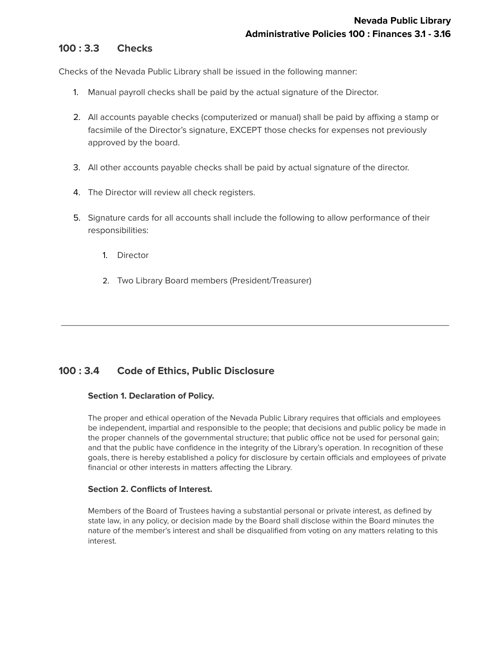### **100 : 3.3 Checks**

Checks of the Nevada Public Library shall be issued in the following manner:

- 1. Manual payroll checks shall be paid by the actual signature of the Director.
- 2. All accounts payable checks (computerized or manual) shall be paid by affixing a stamp or facsimile of the Director's signature, EXCEPT those checks for expenses not previously approved by the board.
- 3. All other accounts payable checks shall be paid by actual signature of the director.
- 4. The Director will review all check registers.
- 5. Signature cards for all accounts shall include the following to allow performance of their responsibilities:
	- 1. Director
	- 2. Two Library Board members (President/Treasurer)

## **100 : 3.4 Code of Ethics, Public Disclosure**

### **Section 1. Declaration of Policy.**

The proper and ethical operation of the Nevada Public Library requires that officials and employees be independent, impartial and responsible to the people; that decisions and public policy be made in the proper channels of the governmental structure; that public office not be used for personal gain; and that the public have confidence in the integrity of the Library's operation. In recognition of these goals, there is hereby established a policy for disclosure by certain officials and employees of private financial or other interests in matters affecting the Library.

### **Section 2. Conflicts of Interest.**

Members of the Board of Trustees having a substantial personal or private interest, as defined by state law, in any policy, or decision made by the Board shall disclose within the Board minutes the nature of the member's interest and shall be disqualified from voting on any matters relating to this interest.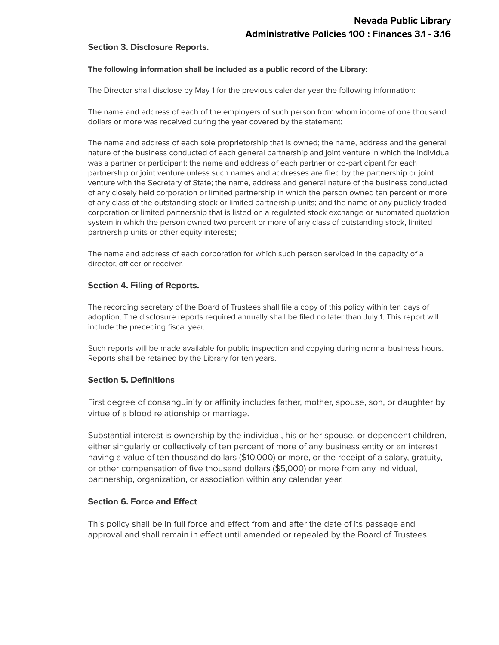#### **Section 3. Disclosure Reports.**

#### **The following information shall be included as a public record of the Library:**

The Director shall disclose by May 1 for the previous calendar year the following information:

The name and address of each of the employers of such person from whom income of one thousand dollars or more was received during the year covered by the statement:

The name and address of each sole proprietorship that is owned; the name, address and the general nature of the business conducted of each general partnership and joint venture in which the individual was a partner or participant; the name and address of each partner or co-participant for each partnership or joint venture unless such names and addresses are filed by the partnership or joint venture with the Secretary of State; the name, address and general nature of the business conducted of any closely held corporation or limited partnership in which the person owned ten percent or more of any class of the outstanding stock or limited partnership units; and the name of any publicly traded corporation or limited partnership that is listed on a regulated stock exchange or automated quotation system in which the person owned two percent or more of any class of outstanding stock, limited partnership units or other equity interests;

The name and address of each corporation for which such person serviced in the capacity of a director, officer or receiver.

#### **Section 4. Filing of Reports.**

The recording secretary of the Board of Trustees shall file a copy of this policy within ten days of adoption. The disclosure reports required annually shall be filed no later than July 1. This report will include the preceding fiscal year.

Such reports will be made available for public inspection and copying during normal business hours. Reports shall be retained by the Library for ten years.

#### **Section 5. Definitions**

First degree of consanguinity or affinity includes father, mother, spouse, son, or daughter by virtue of a blood relationship or marriage.

Substantial interest is ownership by the individual, his or her spouse, or dependent children, either singularly or collectively of ten percent of more of any business entity or an interest having a value of ten thousand dollars (\$10,000) or more, or the receipt of a salary, gratuity, or other compensation of five thousand dollars (\$5,000) or more from any individual, partnership, organization, or association within any calendar year.

### **Section 6. Force and Effect**

This policy shall be in full force and effect from and after the date of its passage and approval and shall remain in effect until amended or repealed by the Board of Trustees.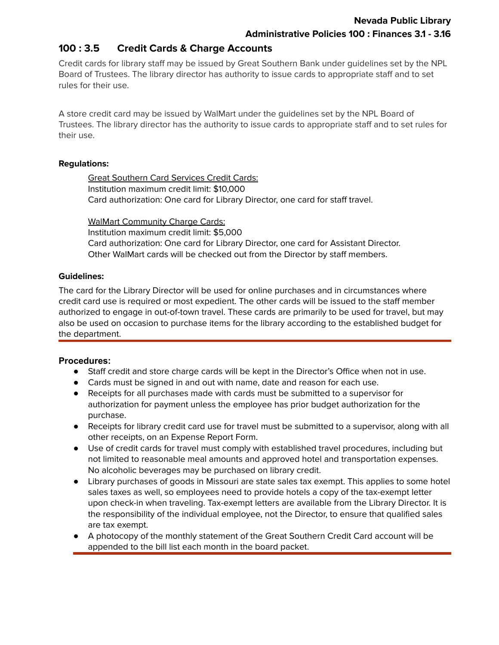## **100 : 3.5 Credit Cards & Charge Accounts**

Credit cards for library staff may be issued by Great Southern Bank under guidelines set by the NPL Board of Trustees. The library director has authority to issue cards to appropriate staff and to set rules for their use.

A store credit card may be issued by WalMart under the guidelines set by the NPL Board of Trustees. The library director has the authority to issue cards to appropriate staff and to set rules for their use.

### **Regulations:**

Great Southern Card Services Credit Cards: Institution maximum credit limit: \$10,000 Card authorization: One card for Library Director, one card for staff travel.

WalMart Community Charge Cards: Institution maximum credit limit: \$5,000 Card authorization: One card for Library Director, one card for Assistant Director. Other WalMart cards will be checked out from the Director by staff members.

## **Guidelines:**

The card for the Library Director will be used for online purchases and in circumstances where credit card use is required or most expedient. The other cards will be issued to the staff member authorized to engage in out-of-town travel. These cards are primarily to be used for travel, but may also be used on occasion to purchase items for the library according to the established budget for the department.

## **Procedures:**

- Staff credit and store charge cards will be kept in the Director's Office when not in use.
- Cards must be signed in and out with name, date and reason for each use.
- Receipts for all purchases made with cards must be submitted to a supervisor for authorization for payment unless the employee has prior budget authorization for the purchase.
- Receipts for library credit card use for travel must be submitted to a supervisor, along with all other receipts, on an Expense Report Form.
- Use of credit cards for travel must comply with established travel procedures, including but not limited to reasonable meal amounts and approved hotel and transportation expenses. No alcoholic beverages may be purchased on library credit.
- Library purchases of goods in Missouri are state sales tax exempt. This applies to some hotel sales taxes as well, so employees need to provide hotels a copy of the tax-exempt letter upon check-in when traveling. Tax-exempt letters are available from the Library Director. It is the responsibility of the individual employee, not the Director, to ensure that qualified sales are tax exempt.
- A photocopy of the monthly statement of the Great Southern Credit Card account will be appended to the bill list each month in the board packet.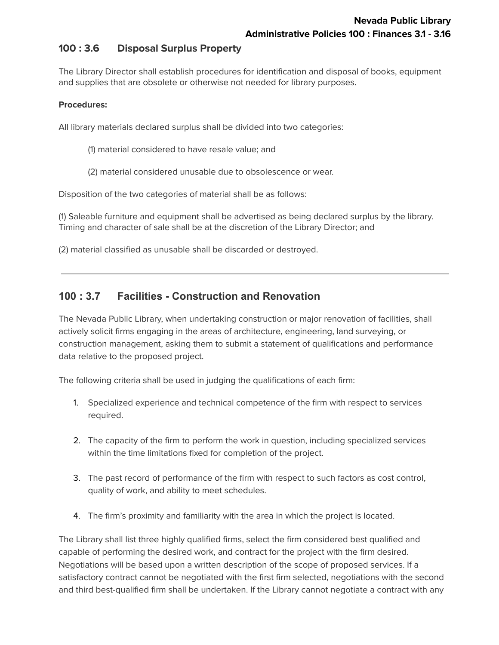## **100 : 3.6 Disposal Surplus Property**

The Library Director shall establish procedures for identification and disposal of books, equipment and supplies that are obsolete or otherwise not needed for library purposes.

### **Procedures:**

All library materials declared surplus shall be divided into two categories:

- (1) material considered to have resale value; and
- (2) material considered unusable due to obsolescence or wear.

Disposition of the two categories of material shall be as follows:

(1) Saleable furniture and equipment shall be advertised as being declared surplus by the library. Timing and character of sale shall be at the discretion of the Library Director; and

(2) material classified as unusable shall be discarded or destroyed.

## **100 : 3.7 Facilities - Construction and Renovation**

The Nevada Public Library, when undertaking construction or major renovation of facilities, shall actively solicit firms engaging in the areas of architecture, engineering, land surveying, or construction management, asking them to submit a statement of qualifications and performance data relative to the proposed project.

The following criteria shall be used in judging the qualifications of each firm:

- 1. Specialized experience and technical competence of the firm with respect to services required.
- 2. The capacity of the firm to perform the work in question, including specialized services within the time limitations fixed for completion of the project.
- 3. The past record of performance of the firm with respect to such factors as cost control, quality of work, and ability to meet schedules.
- 4. The firm's proximity and familiarity with the area in which the project is located.

The Library shall list three highly qualified firms, select the firm considered best qualified and capable of performing the desired work, and contract for the project with the firm desired. Negotiations will be based upon a written description of the scope of proposed services. If a satisfactory contract cannot be negotiated with the first firm selected, negotiations with the second and third best-qualified firm shall be undertaken. If the Library cannot negotiate a contract with any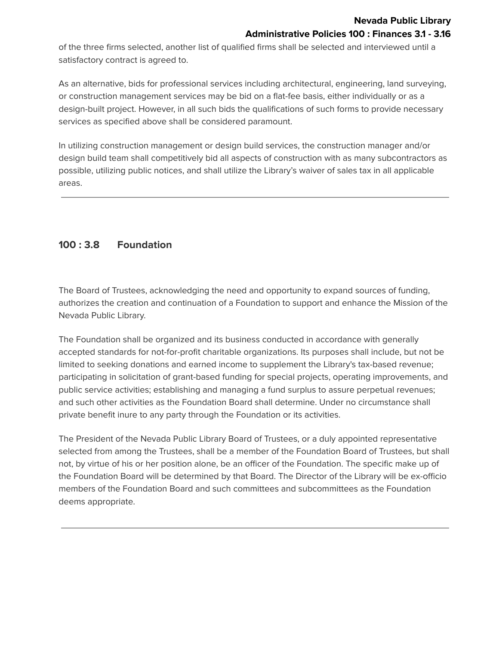of the three firms selected, another list of qualified firms shall be selected and interviewed until a satisfactory contract is agreed to.

As an alternative, bids for professional services including architectural, engineering, land surveying, or construction management services may be bid on a flat-fee basis, either individually or as a design-built project. However, in all such bids the qualifications of such forms to provide necessary services as specified above shall be considered paramount.

In utilizing construction management or design build services, the construction manager and/or design build team shall competitively bid all aspects of construction with as many subcontractors as possible, utilizing public notices, and shall utilize the Library's waiver of sales tax in all applicable areas.

# **100 : 3.8 Foundation**

The Board of Trustees, acknowledging the need and opportunity to expand sources of funding, authorizes the creation and continuation of a Foundation to support and enhance the Mission of the Nevada Public Library.

The Foundation shall be organized and its business conducted in accordance with generally accepted standards for not-for-profit charitable organizations. Its purposes shall include, but not be limited to seeking donations and earned income to supplement the Library's tax-based revenue; participating in solicitation of grant-based funding for special projects, operating improvements, and public service activities; establishing and managing a fund surplus to assure perpetual revenues; and such other activities as the Foundation Board shall determine. Under no circumstance shall private benefit inure to any party through the Foundation or its activities.

The President of the Nevada Public Library Board of Trustees, or a duly appointed representative selected from among the Trustees, shall be a member of the Foundation Board of Trustees, but shall not, by virtue of his or her position alone, be an officer of the Foundation. The specific make up of the Foundation Board will be determined by that Board. The Director of the Library will be ex-officio members of the Foundation Board and such committees and subcommittees as the Foundation deems appropriate.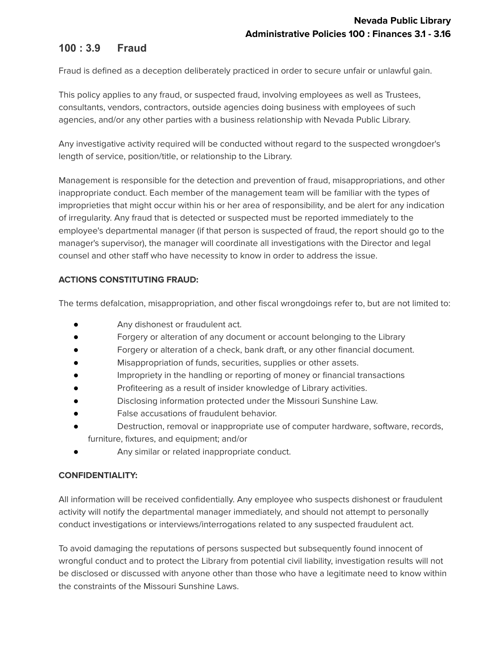# **100 : 3.9 Fraud**

Fraud is defined as a deception deliberately practiced in order to secure unfair or unlawful gain.

This policy applies to any fraud, or suspected fraud, involving employees as well as Trustees, consultants, vendors, contractors, outside agencies doing business with employees of such agencies, and/or any other parties with a business relationship with Nevada Public Library.

Any investigative activity required will be conducted without regard to the suspected wrongdoer's length of service, position/title, or relationship to the Library.

Management is responsible for the detection and prevention of fraud, misappropriations, and other inappropriate conduct. Each member of the management team will be familiar with the types of improprieties that might occur within his or her area of responsibility, and be alert for any indication of irregularity. Any fraud that is detected or suspected must be reported immediately to the employee's departmental manager (if that person is suspected of fraud, the report should go to the manager's supervisor), the manager will coordinate all investigations with the Director and legal counsel and other staff who have necessity to know in order to address the issue.

## **ACTIONS CONSTITUTING FRAUD:**

The terms defalcation, misappropriation, and other fiscal wrongdoings refer to, but are not limited to:

- Any dishonest or fraudulent act.
- Forgery or alteration of any document or account belonging to the Library
- Forgery or alteration of a check, bank draft, or any other financial document.
- Misappropriation of funds, securities, supplies or other assets.
- Impropriety in the handling or reporting of money or financial transactions
- Profiteering as a result of insider knowledge of Library activities.
- Disclosing information protected under the Missouri Sunshine Law.
- False accusations of fraudulent behavior.
- Destruction, removal or inappropriate use of computer hardware, software, records, furniture, fixtures, and equipment; and/or
- Any similar or related inappropriate conduct.

### **CONFIDENTIALITY:**

All information will be received confidentially. Any employee who suspects dishonest or fraudulent activity will notify the departmental manager immediately, and should not attempt to personally conduct investigations or interviews/interrogations related to any suspected fraudulent act.

To avoid damaging the reputations of persons suspected but subsequently found innocent of wrongful conduct and to protect the Library from potential civil liability, investigation results will not be disclosed or discussed with anyone other than those who have a legitimate need to know within the constraints of the Missouri Sunshine Laws.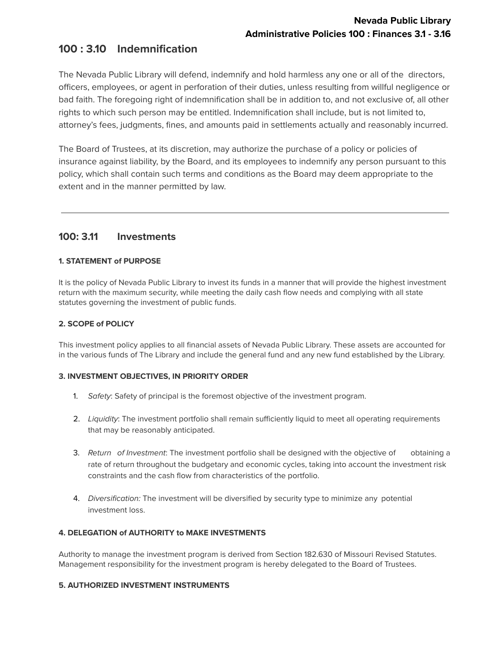# **100 : 3.10 Indemnification**

The Nevada Public Library will defend, indemnify and hold harmless any one or all of the directors, officers, employees, or agent in perforation of their duties, unless resulting from willful negligence or bad faith. The foregoing right of indemnification shall be in addition to, and not exclusive of, all other rights to which such person may be entitled. Indemnification shall include, but is not limited to, attorney's fees, judgments, fines, and amounts paid in settlements actually and reasonably incurred.

The Board of Trustees, at its discretion, may authorize the purchase of a policy or policies of insurance against liability, by the Board, and its employees to indemnify any person pursuant to this policy, which shall contain such terms and conditions as the Board may deem appropriate to the extent and in the manner permitted by law.

## **100: 3.11 Investments**

### **1. STATEMENT of PURPOSE**

It is the policy of Nevada Public Library to invest its funds in a manner that will provide the highest investment return with the maximum security, while meeting the daily cash flow needs and complying with all state statutes governing the investment of public funds.

### **2. SCOPE of POLICY**

This investment policy applies to all financial assets of Nevada Public Library. These assets are accounted for in the various funds of The Library and include the general fund and any new fund established by the Library.

### **3. INVESTMENT OBJECTIVES, IN PRIORITY ORDER**

- 1. Safety: Safety of principal is the foremost objective of the investment program.
- 2. Liquidity: The investment portfolio shall remain sufficiently liquid to meet all operating requirements that may be reasonably anticipated.
- 3. Return of Investment: The investment portfolio shall be designed with the objective of obtaining a rate of return throughout the budgetary and economic cycles, taking into account the investment risk constraints and the cash flow from characteristics of the portfolio.
- 4. Diversification: The investment will be diversified by security type to minimize any potential investment loss.

### **4. DELEGATION of AUTHORITY to MAKE INVESTMENTS**

Authority to manage the investment program is derived from Section 182.630 of Missouri Revised Statutes. Management responsibility for the investment program is hereby delegated to the Board of Trustees.

### **5. AUTHORIZED INVESTMENT INSTRUMENTS**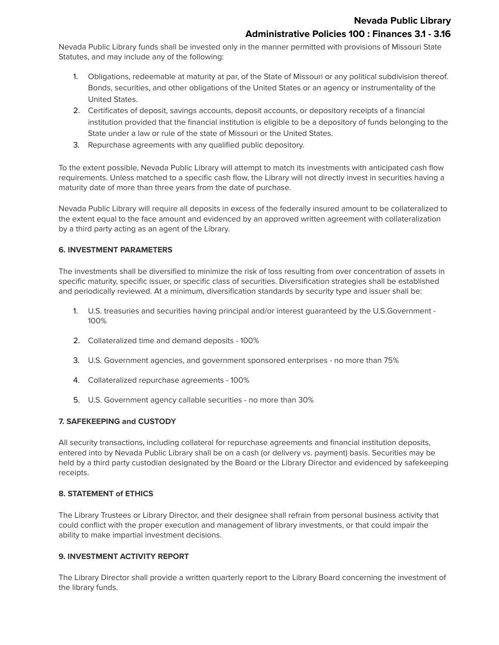Nevada Public Library funds shall be invested only in the manner permitted with provisions of Missouri State Statutes, and may include any of the following:

- 1. Obligations, redeemable at maturity at par, of the State of Missouri or any political subdivision thereof. Bonds, securities, and other obligations of the United States or an agency or instrumentality of the United States.
- 2. Certificates of deposit, savings accounts, deposit accounts, or depository receipts of a financial institution provided that the financial institution is eligible to be a depository of funds belonging to the State under a law or rule of the state of Missouri or the United States.
- 3. Repurchase agreements with any qualified public depository.

To the extent possible, Nevada Public Library will attempt to match its investments with anticipated cash flow requirements. Unless matched to a specific cash flow, the Library will not directly invest in securities having a maturity date of more than three years from the date of purchase.

Nevada Public Library will require all deposits in excess of the federally insured amount to be collateralized to the extent equal to the face amount and evidenced by an approved written agreement with collateralization by a third party acting as an agent of the Library.

#### **6. INVESTMENT PARAMETERS**

The investments shall be diversified to minimize the risk of loss resulting from over concentration of assets in specific maturity, specific issuer, or specific class of securities. Diversification strategies shall be established and periodically reviewed. At a minimum, diversification standards by security type and issuer shall be:

- 1. U.S. treasuries and securities having principal and/or interest guaranteed by the U.S.Government 100%
- 2. Collateralized time and demand deposits 100%
- 3. U.S. Government agencies, and government sponsored enterprises no more than 75%
- 4. Collateralized repurchase agreements 100%
- 5. U.S. Government agency callable securities no more than 30%

### **7. SAFEKEEPING and CUSTODY**

All security transactions, including collateral for repurchase agreements and financial institution deposits, entered into by Nevada Public Library shall be on a cash (or delivery vs. payment) basis. Securities may be held by a third party custodian designated by the Board or the Library Director and evidenced by safekeeping receipts.

#### **8. STATEMENT of ETHICS**

The Library Trustees or Library Director, and their designee shall refrain from personal business activity that could conflict with the proper execution and management of library investments, or that could impair the ability to make impartial investment decisions.

#### **9. INVESTMENT ACTIVITY REPORT**

The Library Director shall provide a written quarterly report to the Library Board concerning the investment of the library funds.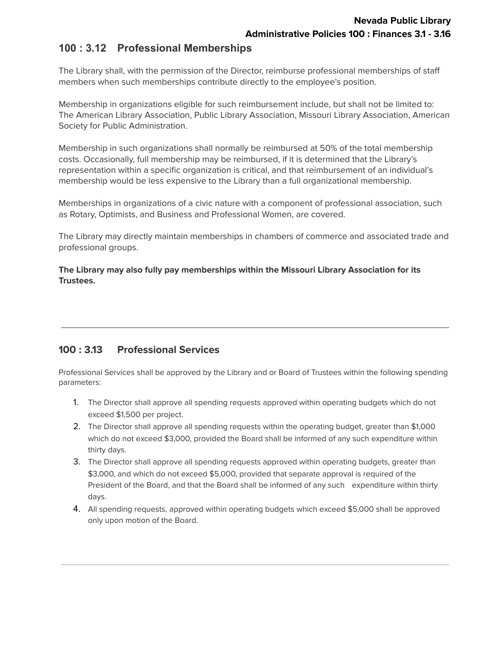## **100 : 3.12 Professional Memberships**

The Library shall, with the permission of the Director, reimburse professional memberships of staff members when such memberships contribute directly to the employee's position.

Membership in organizations eligible for such reimbursement include, but shall not be limited to: The American Library Association, Public Library Association, Missouri Library Association, American Society for Public Administration.

Membership in such organizations shall normally be reimbursed at 50% of the total membership costs. Occasionally, full membership may be reimbursed, if it is determined that the Library's representation within a specific organization is critical, and that reimbursement of an individual's membership would be less expensive to the Library than a full organizational membership.

Memberships in organizations of a civic nature with a component of professional association, such as Rotary, Optimists, and Business and Professional Women, are covered.

The Library may directly maintain memberships in chambers of commerce and associated trade and professional groups.

**The Library may also fully pay memberships within the Missouri Library Association for its Trustees.**

# **100 : 3.13 Professional Services**

Professional Services shall be approved by the Library and or Board of Trustees within the following spending parameters:

- 1. The Director shall approve all spending requests approved within operating budgets which do not exceed \$1,500 per project.
- 2. The Director shall approve all spending requests within the operating budget, greater than \$1,000 which do not exceed \$3,000, provided the Board shall be informed of any such expenditure within thirty days.
- 3. The Director shall approve all spending requests approved within operating budgets, greater than \$3,000, and which do not exceed \$5,000, provided that separate approval is required of the President of the Board, and that the Board shall be informed of any such expenditure within thirty days.
- 4. All spending requests, approved within operating budgets which exceed \$5,000 shall be approved only upon motion of the Board.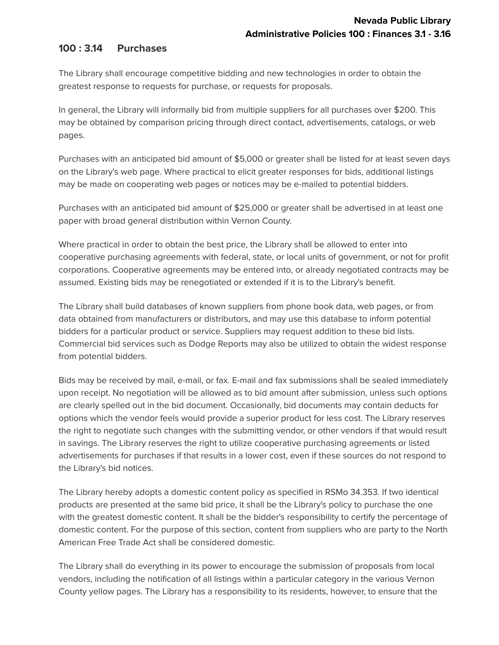## **100 : 3.14 Purchases**

The Library shall encourage competitive bidding and new technologies in order to obtain the greatest response to requests for purchase, or requests for proposals.

In general, the Library will informally bid from multiple suppliers for all purchases over \$200. This may be obtained by comparison pricing through direct contact, advertisements, catalogs, or web pages.

Purchases with an anticipated bid amount of \$5,000 or greater shall be listed for at least seven days on the Library's web page. Where practical to elicit greater responses for bids, additional listings may be made on cooperating web pages or notices may be e-mailed to potential bidders.

Purchases with an anticipated bid amount of \$25,000 or greater shall be advertised in at least one paper with broad general distribution within Vernon County.

Where practical in order to obtain the best price, the Library shall be allowed to enter into cooperative purchasing agreements with federal, state, or local units of government, or not for profit corporations. Cooperative agreements may be entered into, or already negotiated contracts may be assumed. Existing bids may be renegotiated or extended if it is to the Library's benefit.

The Library shall build databases of known suppliers from phone book data, web pages, or from data obtained from manufacturers or distributors, and may use this database to inform potential bidders for a particular product or service. Suppliers may request addition to these bid lists. Commercial bid services such as Dodge Reports may also be utilized to obtain the widest response from potential bidders.

Bids may be received by mail, e-mail, or fax. E-mail and fax submissions shall be sealed immediately upon receipt. No negotiation will be allowed as to bid amount after submission, unless such options are clearly spelled out in the bid document. Occasionally, bid documents may contain deducts for options which the vendor feels would provide a superior product for less cost. The Library reserves the right to negotiate such changes with the submitting vendor, or other vendors if that would result in savings. The Library reserves the right to utilize cooperative purchasing agreements or listed advertisements for purchases if that results in a lower cost, even if these sources do not respond to the Library's bid notices.

The Library hereby adopts a domestic content policy as specified in RSMo 34.353. If two identical products are presented at the same bid price, it shall be the Library's policy to purchase the one with the greatest domestic content. It shall be the bidder's responsibility to certify the percentage of domestic content. For the purpose of this section, content from suppliers who are party to the North American Free Trade Act shall be considered domestic.

The Library shall do everything in its power to encourage the submission of proposals from local vendors, including the notification of all listings within a particular category in the various Vernon County yellow pages. The Library has a responsibility to its residents, however, to ensure that the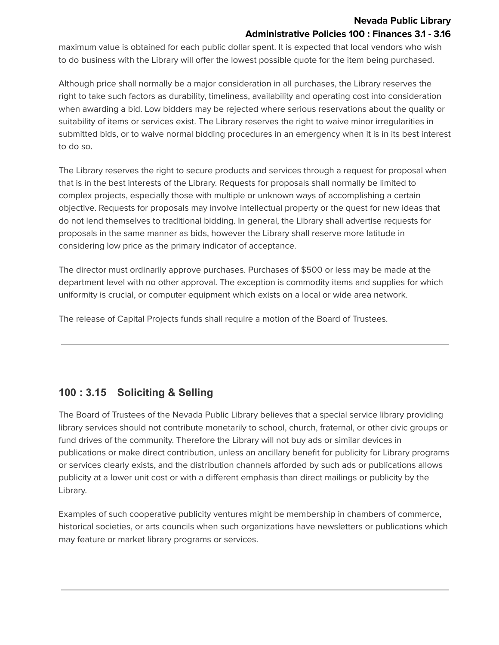### **Nevada Public Library Administrative Policies 100 : Finances 3.1 - 3.16**

maximum value is obtained for each public dollar spent. It is expected that local vendors who wish to do business with the Library will offer the lowest possible quote for the item being purchased.

Although price shall normally be a major consideration in all purchases, the Library reserves the right to take such factors as durability, timeliness, availability and operating cost into consideration when awarding a bid. Low bidders may be rejected where serious reservations about the quality or suitability of items or services exist. The Library reserves the right to waive minor irregularities in submitted bids, or to waive normal bidding procedures in an emergency when it is in its best interest to do so.

The Library reserves the right to secure products and services through a request for proposal when that is in the best interests of the Library. Requests for proposals shall normally be limited to complex projects, especially those with multiple or unknown ways of accomplishing a certain objective. Requests for proposals may involve intellectual property or the quest for new ideas that do not lend themselves to traditional bidding. In general, the Library shall advertise requests for proposals in the same manner as bids, however the Library shall reserve more latitude in considering low price as the primary indicator of acceptance.

The director must ordinarily approve purchases. Purchases of \$500 or less may be made at the department level with no other approval. The exception is commodity items and supplies for which uniformity is crucial, or computer equipment which exists on a local or wide area network.

The release of Capital Projects funds shall require a motion of the Board of Trustees.

# **100 : 3.15 Soliciting & Selling**

The Board of Trustees of the Nevada Public Library believes that a special service library providing library services should not contribute monetarily to school, church, fraternal, or other civic groups or fund drives of the community. Therefore the Library will not buy ads or similar devices in publications or make direct contribution, unless an ancillary benefit for publicity for Library programs or services clearly exists, and the distribution channels afforded by such ads or publications allows publicity at a lower unit cost or with a different emphasis than direct mailings or publicity by the Library.

Examples of such cooperative publicity ventures might be membership in chambers of commerce, historical societies, or arts councils when such organizations have newsletters or publications which may feature or market library programs or services.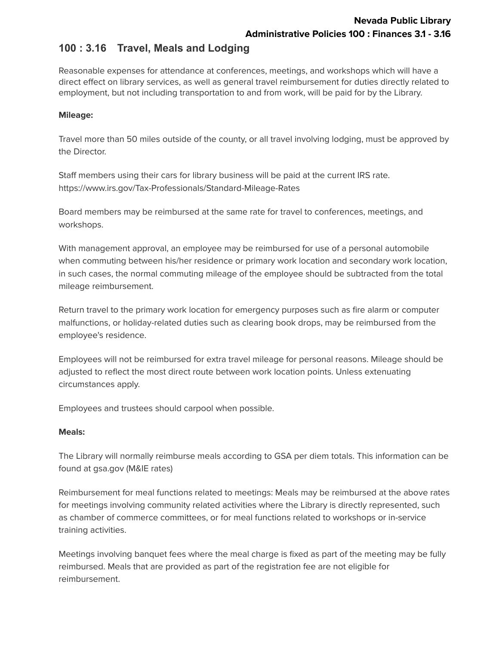## **100 : 3.16 Travel, Meals and Lodging**

Reasonable expenses for attendance at conferences, meetings, and workshops which will have a direct effect on library services, as well as general travel reimbursement for duties directly related to employment, but not including transportation to and from work, will be paid for by the Library.

### **Mileage:**

Travel more than 50 miles outside of the county, or all travel involving lodging, must be approved by the Director.

Staff members using their cars for library business will be paid at the current IRS rate. https://www.irs.gov/Tax-Professionals/Standard-Mileage-Rates

Board members may be reimbursed at the same rate for travel to conferences, meetings, and workshops.

With management approval, an employee may be reimbursed for use of a personal automobile when commuting between his/her residence or primary work location and secondary work location, in such cases, the normal commuting mileage of the employee should be subtracted from the total mileage reimbursement.

Return travel to the primary work location for emergency purposes such as fire alarm or computer malfunctions, or holiday-related duties such as clearing book drops, may be reimbursed from the employee's residence.

Employees will not be reimbursed for extra travel mileage for personal reasons. Mileage should be adjusted to reflect the most direct route between work location points. Unless extenuating circumstances apply.

Employees and trustees should carpool when possible.

### **Meals:**

The Library will normally reimburse meals according to GSA per diem totals. This information can be found at gsa.gov (M&IE rates)

Reimbursement for meal functions related to meetings: Meals may be reimbursed at the above rates for meetings involving community related activities where the Library is directly represented, such as chamber of commerce committees, or for meal functions related to workshops or in-service training activities.

Meetings involving banquet fees where the meal charge is fixed as part of the meeting may be fully reimbursed. Meals that are provided as part of the registration fee are not eligible for reimbursement.